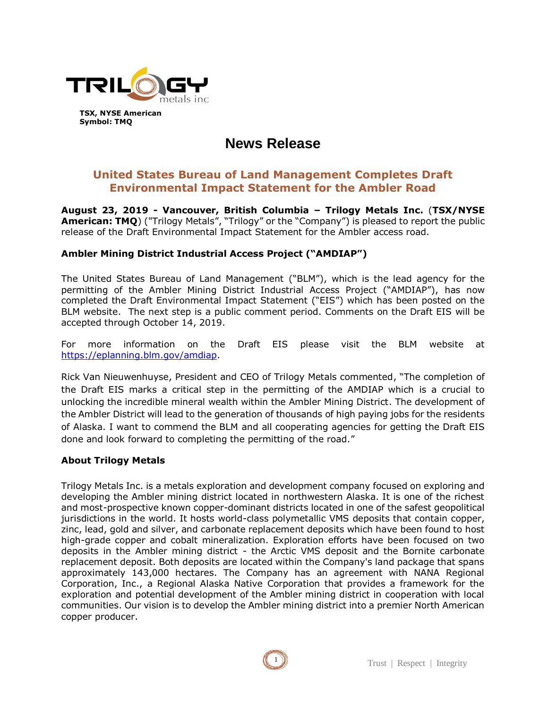

**TSX, NYSE American Symbol: TMQ**

# **News Release**

# **United States Bureau of Land Management Completes Draft Environmental Impact Statement for the Ambler Road**

**August 23, 2019 - Vancouver, British Columbia – Trilogy Metals Inc.** (**TSX/NYSE American: TMQ**) ("Trilogy Metals", "Trilogy" or the "Company") is pleased to report the public release of the Draft Environmental Impact Statement for the Ambler access road.

## **Ambler Mining District Industrial Access Project ("AMDIAP")**

The United States Bureau of Land Management ("BLM"), which is the lead agency for the permitting of the Ambler Mining District Industrial Access Project ("AMDIAP"), has now completed the Draft Environmental Impact Statement ("EIS") which has been posted on the BLM website. The next step is a public comment period. Comments on the Draft EIS will be accepted through October 14, 2019.

For more information on the Draft EIS please visit the BLM website at [https://eplanning.blm.gov/amdiap.](https://eplanning.blm.gov/epl-front-office/eplanning/planAndProjectSite.do?methodName=dispatchToPatternPage¤tPageId=111137)

Rick Van Nieuwenhuyse, President and CEO of Trilogy Metals commented, "The completion of the Draft EIS marks a critical step in the permitting of the AMDIAP which is a crucial to unlocking the incredible mineral wealth within the Ambler Mining District. The development of the Ambler District will lead to the generation of thousands of high paying jobs for the residents of Alaska. I want to commend the BLM and all cooperating agencies for getting the Draft EIS done and look forward to completing the permitting of the road."

### **About Trilogy Metals**

Trilogy Metals Inc. is a metals exploration and development company focused on exploring and developing the Ambler mining district located in northwestern Alaska. It is one of the richest and most-prospective known copper-dominant districts located in one of the safest geopolitical jurisdictions in the world. It hosts world-class polymetallic VMS deposits that contain copper, zinc, lead, gold and silver, and carbonate replacement deposits which have been found to host high-grade copper and cobalt mineralization. Exploration efforts have been focused on two deposits in the Ambler mining district - the Arctic VMS deposit and the Bornite carbonate replacement deposit. Both deposits are located within the Company's land package that spans approximately 143,000 hectares. The Company has an agreement with NANA Regional Corporation, Inc., a Regional Alaska Native Corporation that provides a framework for the exploration and potential development of the Ambler mining district in cooperation with local communities. Our vision is to develop the Ambler mining district into a premier North American copper producer.

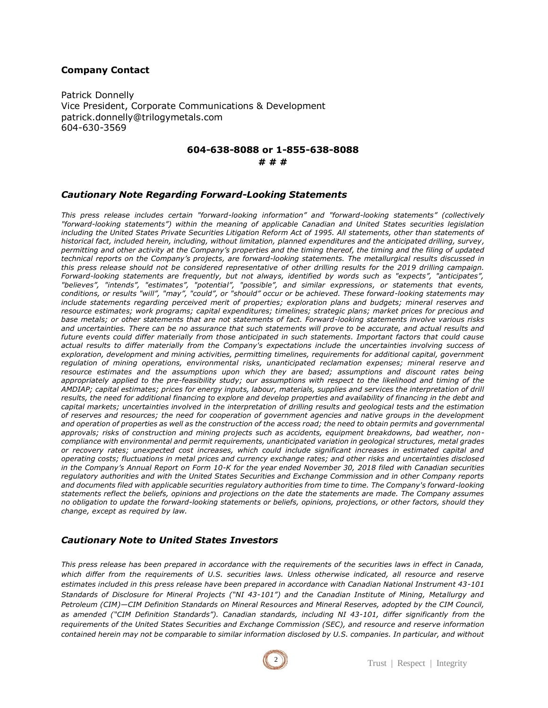#### **Company Contact**

Patrick Donnelly Vice President, Corporate Communications & Development patrick.donnelly@trilogymetals.com 604-630-3569

#### **604-638-8088 or 1-855-638-8088 # # #**

#### *Cautionary Note Regarding Forward-Looking Statements*

*This press release includes certain "forward-looking information" and "forward-looking statements" (collectively "forward-looking statements") within the meaning of applicable Canadian and United States securities legislation including the United States Private Securities Litigation Reform Act of 1995. All statements, other than statements of historical fact, included herein, including, without limitation, planned expenditures and the anticipated drilling, survey, permitting and other activity at the Company's properties and the timing thereof, the timing and the filing of updated technical reports on the Company's projects, are forward-looking statements. The metallurgical results discussed in this press release should not be considered representative of other drilling results for the 2019 drilling campaign. Forward-looking statements are frequently, but not always, identified by words such as "expects", "anticipates", "believes", "intends", "estimates", "potential", "possible", and similar expressions, or statements that events, conditions, or results "will", "may", "could", or "should" occur or be achieved. These forward-looking statements may include statements regarding perceived merit of properties; exploration plans and budgets; mineral reserves and resource estimates; work programs; capital expenditures; timelines; strategic plans; market prices for precious and base metals; or other statements that are not statements of fact. Forward-looking statements involve various risks and uncertainties. There can be no assurance that such statements will prove to be accurate, and actual results and future events could differ materially from those anticipated in such statements. Important factors that could cause actual results to differ materially from the Company's expectations include the uncertainties involving success of exploration, development and mining activities, permitting timelines, requirements for additional capital, government regulation of mining operations, environmental risks, unanticipated reclamation expenses; mineral reserve and resource estimates and the assumptions upon which they are based; assumptions and discount rates being appropriately applied to the pre-feasibility study; our assumptions with respect to the likelihood and timing of the AMDIAP; capital estimates; prices for energy inputs, labour, materials, supplies and services the interpretation of drill*  results, the need for additional financing to explore and develop properties and availability of financing in the debt and *capital markets; uncertainties involved in the interpretation of drilling results and geological tests and the estimation of reserves and resources; the need for cooperation of government agencies and native groups in the development and operation of properties as well as the construction of the access road; the need to obtain permits and governmental approvals; risks of construction and mining projects such as accidents, equipment breakdowns, bad weather, noncompliance with environmental and permit requirements, unanticipated variation in geological structures, metal grades or recovery rates; unexpected cost increases, which could include significant increases in estimated capital and operating costs; fluctuations in metal prices and currency exchange rates; and other risks and uncertainties disclosed in the Company's Annual Report on Form 10-K for the year ended November 30, 2018 filed with Canadian securities regulatory authorities and with the United States Securities and Exchange Commission and in other Company reports and documents filed with applicable securities regulatory authorities from time to time. The Company's forward-looking statements reflect the beliefs, opinions and projections on the date the statements are made. The Company assumes no obligation to update the forward-looking statements or beliefs, opinions, projections, or other factors, should they change, except as required by law.*

#### *Cautionary Note to United States Investors*

*This press release has been prepared in accordance with the requirements of the securities laws in effect in Canada, which differ from the requirements of U.S. securities laws. Unless otherwise indicated, all resource and reserve estimates included in this press release have been prepared in accordance with Canadian National Instrument 43-101 Standards of Disclosure for Mineral Projects ("NI 43-101") and the Canadian Institute of Mining, Metallurgy and Petroleum (CIM)—CIM Definition Standards on Mineral Resources and Mineral Reserves, adopted by the CIM Council, as amended ("CIM Definition Standards"). Canadian standards, including NI 43-101, differ significantly from the requirements of the United States Securities and Exchange Commission (SEC), and resource and reserve information contained herein may not be comparable to similar information disclosed by U.S. companies. In particular, and without*